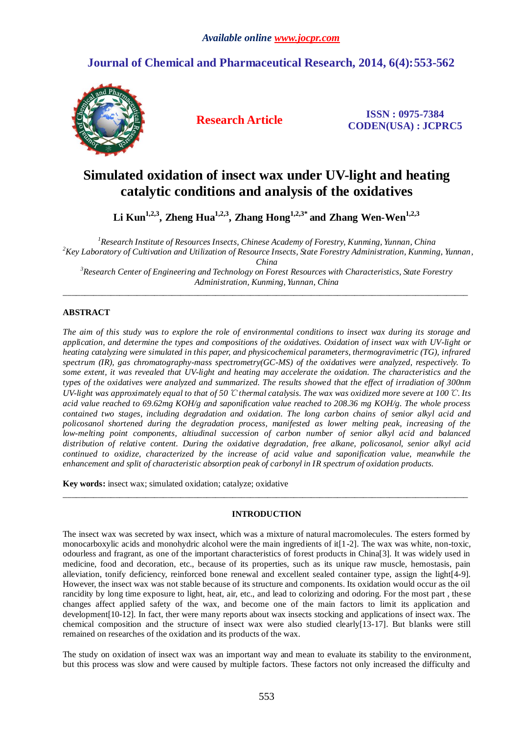## **Journal of Chemical and Pharmaceutical Research, 2014, 6(4):553-562**



**Research Article ISSN : 0975-7384 CODEN(USA) : JCPRC5**

# **Simulated oxidation of insect wax under UV-light and heating catalytic conditions and analysis of the oxidatives**

**Li Kun1,2,3, Zheng Hua1,2,3, Zhang Hong1,2,3\* and Zhang Wen-Wen1,2,3**

*Research Institute of Resources Insects, Chinese Academy of Forestry, Kunming, Yunnan, China Key Laboratory of Cultivation and Utilization of Resource Insects, State Forestry Administration, Kunming, Yunnan, China Research Center of Engineering and Technology on Forest Resources with Characteristics, State Forestry* 

*Administration, Kunming, Yunnan, China* \_\_\_\_\_\_\_\_\_\_\_\_\_\_\_\_\_\_\_\_\_\_\_\_\_\_\_\_\_\_\_\_\_\_\_\_\_\_\_\_\_\_\_\_\_\_\_\_\_\_\_\_\_\_\_\_\_\_\_\_\_\_\_\_\_\_\_\_\_\_\_\_\_\_\_\_\_\_\_\_\_\_\_\_\_\_\_\_\_\_\_\_\_

## **ABSTRACT**

*The aim of this study was to explore the role of environmental conditions to insect wax during its storage and application, and determine the types and compositions of the oxidatives. Oxidation of insect wax with UV-light or heating catalyzing were simulated in this paper, and physicochemical parameters, thermogravimetric (TG), infrared spectrum (IR), gas chromatography-mass spectrometry(GC-MS) of the oxidatives were analyzed, respectively. To some extent, it was revealed that UV-light and heating may accelerate the oxidation. The characteristics and the types of the oxidatives were analyzed and summarized. The results showed that the effect of irradiation of 300nm UV-light was approximately equal to that of 50*℃ *thermal catalysis. The wax was oxidized more severe at 100*℃*. Its acid value reached to 69.62mg KOH/g and saponification value reached to 208.36 mg KOH/g. The whole process contained two stages, including degradation and oxidation. The long carbon chains of senior alkyl acid and policosanol shortened during the degradation process, manifested as lower melting peak, increasing of the low-melting point components, altiudinal succession of carbon number of senior alkyl acid and balanced distribution of relative content. During the oxidative degradation, free alkane, policosanol, senior alkyl acid continued to oxidize, characterized by the increase of acid value and saponification value, meanwhile the enhancement and split of characteristic absorption peak of carbonyl in IR spectrum of oxidation products.*

**Key words:** insect wax; simulated oxidation; catalyze; oxidative

## **INTRODUCTION**

\_\_\_\_\_\_\_\_\_\_\_\_\_\_\_\_\_\_\_\_\_\_\_\_\_\_\_\_\_\_\_\_\_\_\_\_\_\_\_\_\_\_\_\_\_\_\_\_\_\_\_\_\_\_\_\_\_\_\_\_\_\_\_\_\_\_\_\_\_\_\_\_\_\_\_\_\_\_\_\_\_\_\_\_\_\_\_\_\_\_\_\_\_

The insect wax was secreted by wax insect, which was a mixture of natural macromolecules. The esters formed by monocarboxylic acids and monohydric alcohol were the main ingredients of it[1-2]. The wax was white, non-toxic, odourless and fragrant, as one of the important characteristics of forest products in China[3]. It was widely used in medicine, food and decoration, etc., because of its properties, such as its unique raw muscle, hemostasis, pain alleviation, tonify deficiency, reinforced bone renewal and excellent sealed container type, assign the light[4-9]. However, the insect wax was not stable because of its structure and components. Its oxidation would occur as the oil rancidity by long time exposure to light, heat, air, etc., and lead to colorizing and odoring. For the most part , these changes affect applied safety of the wax, and become one of the main factors to limit its application and development[10-12]. In fact, ther were many reports about wax insects stocking and applications of insect wax. The chemical composition and the structure of insect wax were also studied clearly[13-17]. But blanks were still remained on researches of the oxidation and its products of the wax.

The study on oxidation of insect wax was an important way and mean to evaluate its stability to the environment, but this process was slow and were caused by multiple factors. These factors not only increased the difficulty and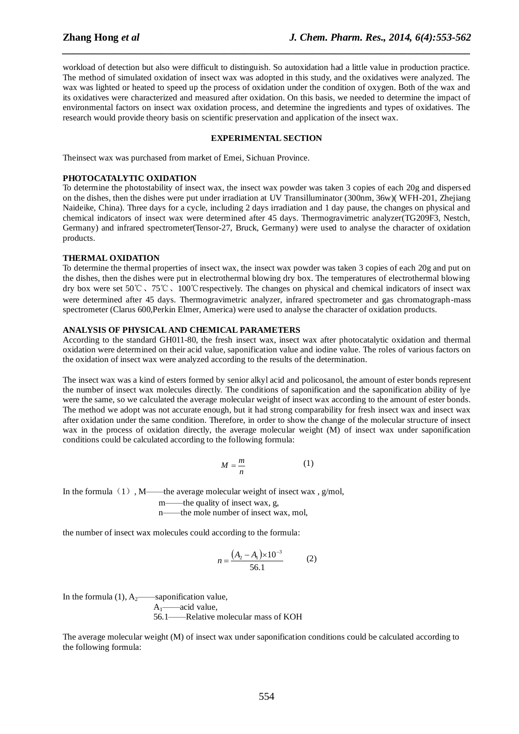workload of detection but also were difficult to distinguish. So autoxidation had a little value in production practice. The method of simulated oxidation of insect wax was adopted in this study, and the oxidatives were analyzed. The wax was lighted or heated to speed up the process of oxidation under the condition of oxygen. Both of the wax and its oxidatives were characterized and measured after oxidation. On this basis, we needed to determine the impact of environmental factors on insect wax oxidation process, and determine the ingredients and types of oxidatives. The research would provide theory basis on scientific preservation and application of the insect wax.

*\_\_\_\_\_\_\_\_\_\_\_\_\_\_\_\_\_\_\_\_\_\_\_\_\_\_\_\_\_\_\_\_\_\_\_\_\_\_\_\_\_\_\_\_\_\_\_\_\_\_\_\_\_\_\_\_\_\_\_\_\_\_\_\_\_\_\_\_\_\_\_\_\_\_\_\_\_\_*

## **EXPERIMENTAL SECTION**

Theinsect wax was purchased from market of Emei, Sichuan Province.

#### **PHOTOCATALYTIC OXIDATION**

To determine the photostability of insect wax, the insect wax powder was taken 3 copies of each 20g and dispersed on the dishes, then the dishes were put under irradiation at UV Transilluminator (300nm, 36w)( WFH-201, Zhejiang Naideike, China). Three days for a cycle, including 2 days irradiation and 1 day pause, the changes on physical and chemical indicators of insect wax were determined after 45 days. Thermogravimetric analyzer(TG209F3, Nestch, Germany) and infrared spectrometer(Tensor-27, Bruck, Germany) were used to analyse the character of oxidation products.

#### **THERMAL OXIDATION**

To determine the thermal properties of insect wax, the insect wax powder was taken 3 copies of each 20g and put on the dishes, then the dishes were put in electrothermal blowing dry box. The temperatures of electrothermal blowing dry box were set 50℃、75℃、100℃respectively. The changes on physical and chemical indicators of insect wax were determined after 45 days. Thermogravimetric analyzer, infrared spectrometer and gas chromatograph-mass spectrometer (Clarus 600,Perkin Elmer, America) were used to analyse the character of oxidation products.

#### **ANALYSIS OF PHYSICAL AND CHEMICAL PARAMETERS**

According to the standard GH011-80, the fresh insect wax, insect wax after photocatalytic oxidation and thermal oxidation were determined on their acid value, saponification value and iodine value. The roles of various factors on the oxidation of insect wax were analyzed according to the results of the determination.

The insect wax was a kind of esters formed by senior alkyl acid and policosanol, the amount of ester bonds represent the number of insect wax molecules directly. The conditions of saponification and the saponification ability of lye were the same, so we calculated the average molecular weight of insect wax according to the amount of ester bonds. The method we adopt was not accurate enough, but it had strong comparability for fresh insect wax and insect wax after oxidation under the same condition. Therefore, in order to show the change of the molecular structure of insect wax in the process of oxidation directly, the average molecular weight (M) of insect wax under saponification conditions could be calculated according to the following formula:

$$
M = \frac{m}{n} \tag{1}
$$

In the formula  $(1)$ , M——the average molecular weight of insect wax, g/mol,

m——the quality of insect wax, g,

n——the mole number of insect wax, mol,

the number of insect wax molecules could according to the formula:

$$
n = \frac{(A_2 - A_1) \times 10^{-3}}{56.1}
$$
 (2)

In the formula  $(1)$ ,  $A_2$ ——saponification value,

 $A_1 \longrightarrow acid$  value,

56.1——Relative molecular mass of KOH

The average molecular weight (M) of insect wax under saponification conditions could be calculated according to the following formula: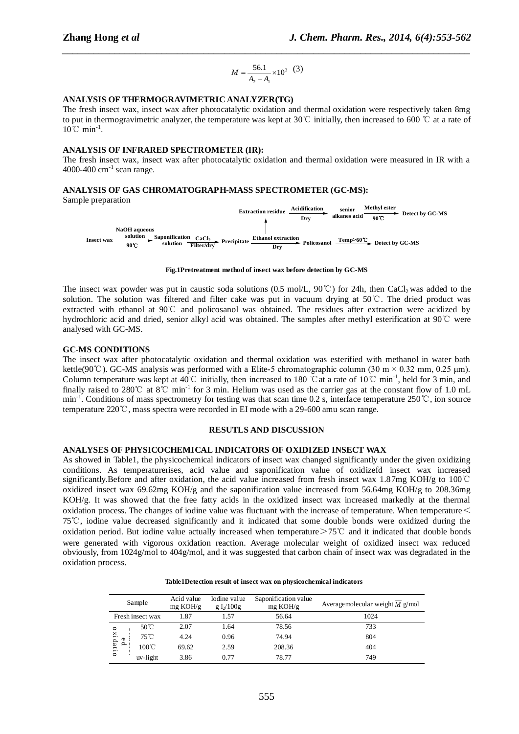$$
M = \frac{56.1}{A_2 - A_1} \times 10^3 \quad (3)
$$

*\_\_\_\_\_\_\_\_\_\_\_\_\_\_\_\_\_\_\_\_\_\_\_\_\_\_\_\_\_\_\_\_\_\_\_\_\_\_\_\_\_\_\_\_\_\_\_\_\_\_\_\_\_\_\_\_\_\_\_\_\_\_\_\_\_\_\_\_\_\_\_\_\_\_\_\_\_\_*

## **ANALYSIS OF THERMOGRAVIMETRIC ANALYZER(TG)**

The fresh insect wax, insect wax after photocatalytic oxidation and thermal oxidation were respectively taken 8mg to put in thermogravimetric analyzer, the temperature was kept at 30℃ initially, then increased to 600 ℃ at a rate of 10°C min<sup>-1</sup>.

## **ANALYSIS OF INFRARED SPECTROMETER (IR):**

The fresh insect wax, insect wax after photocatalytic oxidation and thermal oxidation were measured in IR with a  $4000-400$  cm<sup>-1</sup> scan range.

## **ANALYSIS OF GAS CHROMATOGRAPH-MASS SPECTROMETER (GC-MS):**



#### **Fig.1Pretreatment method of insect wax before detection by GC-MS**

The insect wax powder was put in caustic soda solutions (0.5 mol/L, 90°C) for 24h, then CaCl<sub>2</sub> was added to the solution. The solution was filtered and filter cake was put in vacuum drying at 50℃. The dried product was extracted with ethanol at 90℃ and policosanol was obtained. The residues after extraction were acidized by hydrochloric acid and dried, senior alkyl acid was obtained. The samples after methyl esterification at 90℃ were analysed with GC-MS.

#### **GC-MS CONDITIONS**

The insect wax after photocatalytic oxidation and thermal oxidation was esterified with methanol in water bath kettle(90°C). GC-MS analysis was performed with a Elite-5 chromatographic column (30 m × 0.32 mm, 0.25  $\mu$ m). Column temperature was kept at 40°C initially, then increased to 180 °C at a rate of 10°C min<sup>-1</sup>, held for 3 min, and finally raised to 280°C at 8°C min<sup>-1</sup> for 3 min. Helium was used as the carrier gas at the constant flow of 1.0 mL min<sup>-1</sup>. Conditions of mass spectrometry for testing was that scan time 0.2 s, interface temperature 250℃, ion source temperature 220℃, mass spectra were recorded in EI mode with a 29-600 amu scan range.

#### **RESUTLS AND DISCUSSION**

#### **ANALYSES OF PHYSICOCHEMICAL INDICATORS OF OXIDIZED INSECT WAX**

5.1  $\times$ 10<sup>3</sup><br>  $\overline{-A_1}$   $\times$  10<sup>3</sup><br>  $\overline{-A_1}$   $\times$  10<sup>3</sup><br> **ZER(TC**<br>
xidation<br>
as kept *a*<br> **SPECTR**<br>
ion residue<br>  $\overline{Dry}$ <br>
sect wax l<br>
ons (0.5<br>
and extraes  $\overline{Dry}$ <br>
sect wax l<br>
obtained. T<br>
obtained. T<br>
consequent As showed in Table1, the physicochemical indicators of insect wax changed significantly under the given oxidizing conditions. As temperaturerises, acid value and saponification value of oxidizefd insect wax increased significantly.Before and after oxidation, the acid value increased from fresh insect wax 1.87mg KOH/g to 100℃ oxidized insect wax 69.62mg KOH/g and the saponification value increased from 56.64mg KOH/g to 208.36mg KOH/g. It was showed that the free fatty acids in the oxidized insect wax increased markedly at the thermal oxidation process. The changes of iodine value was fluctuant with the increase of temperature. When temperature  $\leq$ 75℃, iodine value decreased significantly and it indicated that some double bonds were oxidized during the oxidation period. But iodine value actually increased when temperature>75℃ and it indicated that double bonds were generated with vigorous oxidation reaction. Average molecular weight of oxidized insect wax reduced obviously, from 1024g/mol to 404g/mol, and it was suggested that carbon chain of insect wax was degradated in the oxidation process.

| Sample                               |                  | Acid value<br>mg KOH/g | Iodine value<br>g $I_2/100g$ | Saponification value<br>mg KOH/g | Average molecular weight $M$ g/mol |
|--------------------------------------|------------------|------------------------|------------------------------|----------------------------------|------------------------------------|
|                                      | Fresh insect wax | 1.87                   | 1.57                         | 56.64                            | 1024                               |
| $\circ$<br>xidatio<br>$\sigma$<br>o. | $50^{\circ}$ C   | 2.07                   | 1.64                         | 78.56                            | 733                                |
|                                      | $75^{\circ}$ C   | 4.24                   | 0.96                         | 74.94                            | 804                                |
|                                      | $100^{\circ}$ C  | 69.62                  | 2.59                         | 208.36                           | 404                                |
|                                      | uv-light         | 3.86                   | 0.77                         | 78.77                            | 749                                |

**Table1Detection result of insect wax on physicochemical indicators**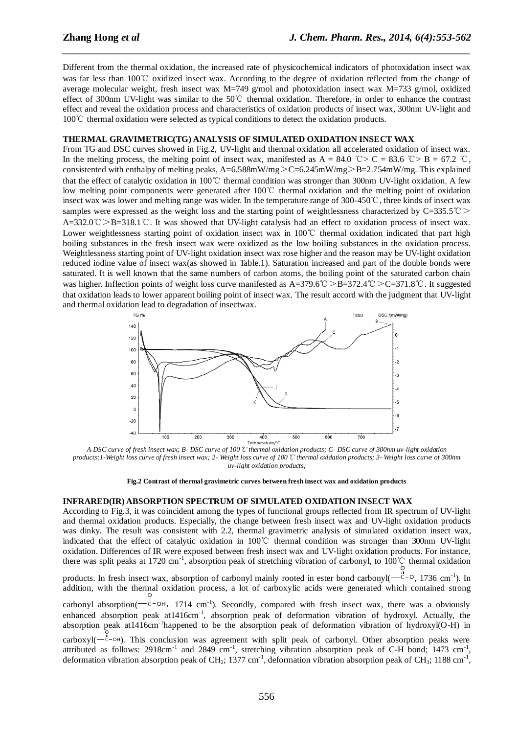Different from the thermal oxidation, the increased rate of physicochemical indicators of photoxidation insect wax was far less than 100℃ oxidized insect wax. According to the degree of oxidation reflected from the change of average molecular weight, fresh insect wax M=749 g/mol and photoxidation insect wax M=733 g/mol, oxidized effect of 300nm UV-light was similar to the 50℃ thermal oxidation. Therefore, in order to enhance the contrast effect and reveal the oxidation process and characteristics of oxidation products of insect wax, 300nm UV-light and 100℃ thermal oxidation were selected as typical conditions to detect the oxidation products.

*\_\_\_\_\_\_\_\_\_\_\_\_\_\_\_\_\_\_\_\_\_\_\_\_\_\_\_\_\_\_\_\_\_\_\_\_\_\_\_\_\_\_\_\_\_\_\_\_\_\_\_\_\_\_\_\_\_\_\_\_\_\_\_\_\_\_\_\_\_\_\_\_\_\_\_\_\_\_*

#### **THERMAL GRAVIMETRIC(TG) ANALYSIS OF SIMULATED OXIDATION INSECT WAX**

From TG and DSC curves showed in Fig.2, UV-light and thermal oxidation all accelerated oxidation of insect wax. In the melting process, the melting point of insect wax, manifested as A = 84.0 °C > C = 83.6 °C > B = 67.2 °C, consistented with enthalpy of melting peaks, A=6.588mW/mg>C=6.245mW/mg>B=2.754mW/mg. This explained that the effect of catalytic oxidation in 100℃ thermal condition was stronger than 300nm UV-light oxidation. A few low melting point components were generated after 100℃ thermal oxidation and the melting point of oxidation insect wax was lower and melting range was wider. In the temperature range of 300-450℃, three kinds of insect wax samples were expressed as the weight loss and the starting point of weightlessness characterized by C=335.5℃ A=332.0℃>B=318.1℃. It was showed that UV-light catalysis had an effect to oxidation process of insect wax. Lower weightlessness starting point of oxidation insect wax in 100℃ thermal oxidation indicated that part high boiling substances in the fresh insect wax were oxidized as the low boiling substances in the oxidation process. Weightlessness starting point of UV-light oxidation insect wax rose higher and the reason may be UV-light oxidation reduced iodine value of insect wax(as showed in Table.1). Saturation increased and part of the double bonds were saturated. It is well known that the same numbers of carbon atoms, the boiling point of the saturated carbon chain was higher. Inflection points of weight loss curve manifested as A=379.6℃ >B=372.4℃ >C=371.8℃. It suggested that oxidation leads to lower apparent boiling point of insect wax. The result accord with the judgment that UV-light and thermal oxidation lead to degradation of insectwax.



*A-DSC curve of fresh insect wax; B- DSC curve of 100*℃ *thermal oxidation products; C- DSC curve of 300nm uv-light oxidation products;1-Weight loss curve of fresh insect wax; 2- Weight loss curve of 100*℃ *thermal oxidation products; 3- Weight loss curve of 300nm uv-light oxidation products;*

**Fig.2 Contrast of thermal gravimetric curves between fresh insect wax and oxidation products**

#### **INFRARED(IR) ABSORPTION SPECTRUM OF SIMULATED OXIDATION INSECT WAX**

According to Fig.3, it was coincident among the types of functional groups reflected from IR spectrum of UV-light and thermal oxidation products. Especially, the change between fresh insect wax and UV-light oxidation products was dinky. The result was consistent with 2.2, thermal gravimetric analysis of simulated oxidation insect wax, indicated that the effect of catalytic oxidation in 100℃ thermal condition was stronger than 300nm UV-light oxidation. Differences of IR were exposed between fresh insect wax and UV-light oxidation products. For instance, there was split peaks at 1720 cm<sup>-1</sup>, absorption peak of stretching vibration of carbonyl, to 100 °C thermal oxidation O

products. In fresh insect wax, absorption of carbonyl mainly rooted in ester bond carbonyl( $\overline{C}$ - $\overline{C}$ - $\overline{O}$ , 1736 cm<sup>-1</sup>). In addition, with the thermal oxidation process, a lot of carboxylic acids were generated which contained strong

carbonyl absorption( C o<br><sup>C</sup>-OH, 1714 cm<sup>-1</sup>). Secondly, compared with fresh insect wax, there was a obviously enhanced absorption peak at 1416cm<sup>-1</sup>, absorption peak of deformation vibration of hydroxyl. Actually, the absorption peak at1416cm<sup>-1</sup>happened to be the absorption peak of deformation vibration of hydroxyl(O-H) in carboxyl(-c O OH ). This conclusion was agreement with split peak of carbonyl. Other absorption peaks were

attributed as follows: 2918cm<sup>-1</sup> and 2849 cm<sup>-1</sup>, stretching vibration absorption peak of C-H bond; 1473 cm<sup>-1</sup>, deformation vibration absorption peak of CH<sub>2</sub>; 1377 cm<sup>-1</sup>, deformation vibration absorption peak of CH<sub>3</sub>; 1188 cm<sup>-1</sup> ,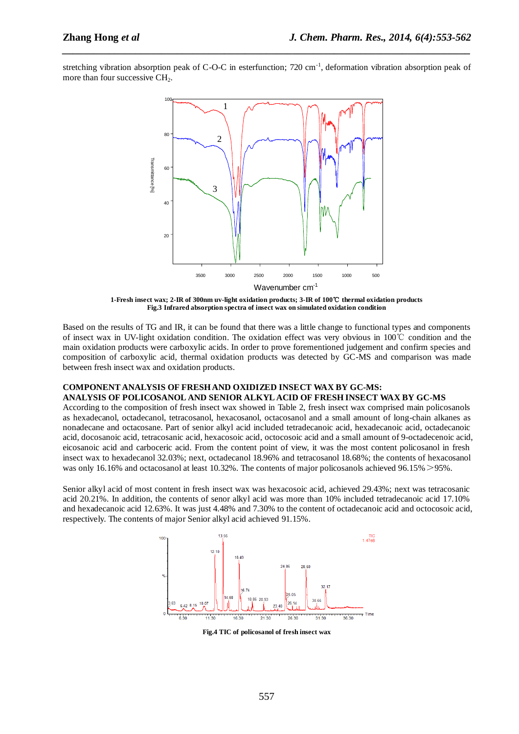stretching vibration absorption peak of C-O-C in esterfunction;  $720 \text{ cm}^{-1}$ , deformation vibration absorption peak of more than four successive CH<sub>2</sub>.

*\_\_\_\_\_\_\_\_\_\_\_\_\_\_\_\_\_\_\_\_\_\_\_\_\_\_\_\_\_\_\_\_\_\_\_\_\_\_\_\_\_\_\_\_\_\_\_\_\_\_\_\_\_\_\_\_\_\_\_\_\_\_\_\_\_\_\_\_\_\_\_\_\_\_\_\_\_\_*



**1-Fresh insect wax; 2-IR of 300nm uv-light oxidation products; 3-IR of 100**℃ **thermal oxidation products Fig.3 Infrared absorption spectra of insect wax on simulated oxidation condition**

Based on the results of TG and IR, it can be found that there was a little change to functional types and components of insect wax in UV-light oxidation condition. The oxidation effect was very obvious in 100℃ condition and the main oxidation products were carboxylic acids. In order to prove forementioned judgement and confirm species and composition of carboxylic acid, thermal oxidation products was detected by GC-MS and comparison was made between fresh insect wax and oxidation products.

## **COMPONENT ANALYSIS OF FRESH AND OXIDIZED INSECT WAX BY GC-MS:**

**ANALYSIS OF POLICOSANOL AND SENIOR ALKYL ACID OF FRESH INSECT WAX BY GC-MS** According to the composition of fresh insect wax showed in Table 2, fresh insect wax comprised main policosanols as hexadecanol, octadecanol, tetracosanol, hexacosanol, octacosanol and a small amount of long-chain alkanes as nonadecane and octacosane. Part of senior alkyl acid included tetradecanoic acid, hexadecanoic acid, octadecanoic acid, docosanoic acid, tetracosanic acid, hexacosoic acid, octocosoic acid and a small amount of 9-octadecenoic acid, eicosanoic acid and carboceric acid. From the content point of view, it was the most content policosanol in fresh insect wax to hexadecanol 32.03%; next, octadecanol 18.96% and tetracosanol 18.68%; the contents of hexacosanol was only 16.16% and octacosanol at least 10.32%. The contents of major policosanols achieved 96.15% > 95%.

Senior alkyl acid of most content in fresh insect wax was hexacosoic acid, achieved 29.43%; next was tetracosanic acid 20.21%. In addition, the contents of senor alkyl acid was more than 10% included tetradecanoic acid 17.10% and hexadecanoic acid 12.63%. It was just 4.48% and 7.30% to the content of octadecanoic acid and octocosoic acid, respectively. The contents of major Senior alkyl acid achieved 91.15%.



**Fig.4 TIC of policosanol of fresh insect wax**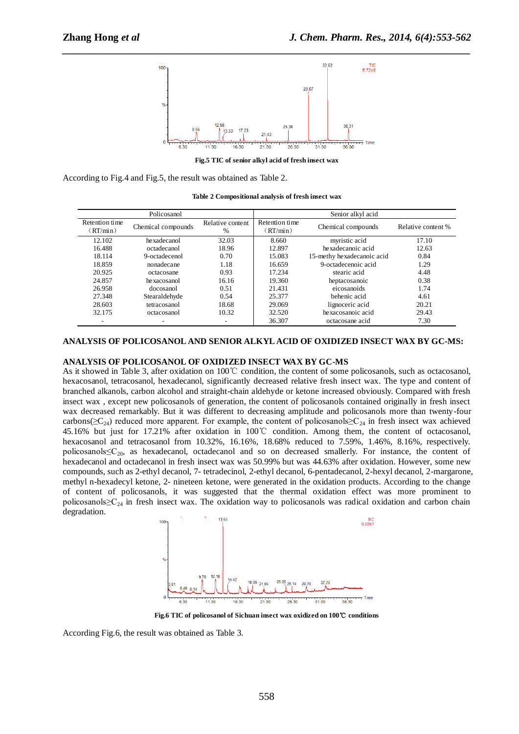

**Fig.5 TIC of senior alkyl acid of fresh insect wax**

According to Fig.4 and Fig.5, the result was obtained as Table 2.

| Policosanol                |                    |                          | Senior alkyl acid          |                            |                    |
|----------------------------|--------------------|--------------------------|----------------------------|----------------------------|--------------------|
| Retention time<br>(RT/min) | Chemical compounds | Relative content<br>$\%$ | Retention time<br>(RT/min) | Chemical compounds         | Relative content % |
| 12.102                     | hexadecanol        | 32.03                    | 8.660                      | myristic acid              | 17.10              |
| 16.488                     | octadecanol        | 18.96                    | 12.897                     | hexadecanoic acid          | 12.63              |
| 18.114                     | 9-octadecenol      | 0.70                     | 15.083                     | 15-methy hexadecanoic acid | 0.84               |
| 18.859                     | nonadecane         | 1.18                     | 16.659                     | 9-octadecenoic acid        | 1.29               |
| 20.925                     | octacosane         | 0.93                     | 17.234                     | stearic acid               | 4.48               |
| 24.857                     | hexacosanol        | 16.16                    | 19.360                     | heptacosanoic              | 0.38               |
| 26.958                     | docosanol          | 0.51                     | 21.431                     | eicosanoids                | 1.74               |
| 27.348                     | Stearaldehyde      | 0.54                     | 25.377                     | behenic acid               | 4.61               |
| 28.603                     | tetracosanol       | 18.68                    | 29.069                     | lignoceric acid            | 20.21              |
| 32.175                     | octacosanol        | 10.32                    | 32.520                     | hexacosanoic acid          | 29.43              |
| ۰                          |                    |                          | 36.307                     | octacosane acid            | 7.30               |

## **ANALYSIS OF POLICOSANOL AND SENIOR ALKYL ACID OF OXIDIZED INSECT WAX BY GC-MS:**

## **ANALYSIS OF POLICOSANOL OF OXIDIZED INSECT WAX BY GC-MS**

As it showed in Table 3, after oxidation on 100℃ condition, the content of some policosanols, such as octacosanol, hexacosanol, tetracosanol, hexadecanol, significantly decreased relative fresh insect wax. The type and content of branched alkanols, carbon alcohol and straight-chain aldehyde or ketone increased obviously. Compared with fresh insect wax , except new policosanols of generation, the content of policosanols contained originally in fresh insect wax decreased remarkably. But it was different to decreasing amplitude and policosanols more than twenty-four carbons( $\geq C_{24}$ ) reduced more apparent. For example, the content of policosanols $\geq C_{24}$  in fresh insect wax achieved 45.16% but just for 17.21% after oxidation in 100℃ condition. Among them, the content of octacosanol, hexacosanol and tetracosanol from 10.32%, 16.16%, 18.68% reduced to 7.59%, 1.46%, 8.16%, respectively. policosanols≤C20, as hexadecanol, octadecanol and so on decreased smallerly. For instance, the content of hexadecanol and octadecanol in fresh insect wax was 50.99% but was 44.63% after oxidation. However, some new compounds, such as 2-ethyl decanol, 7- tetradecinol, 2-ethyl decanol, 6-pentadecanol, 2-hexyl decanol, 2-margarone, methyl n-hexadecyl ketone, 2- nineteen ketone, were generated in the oxidation products. According to the change of content of policosanols, it was suggested that the thermal oxidation effect was more prominent to policosanols≥C<sup>24</sup> in fresh insect wax. The oxidation way to policosanols was radical oxidation and carbon chain degradation.



**Fig.6 TIC of policosanol of Sichuan insect wax oxidized on 100**℃ **conditions**

According Fig.6, the result was obtained as Table 3.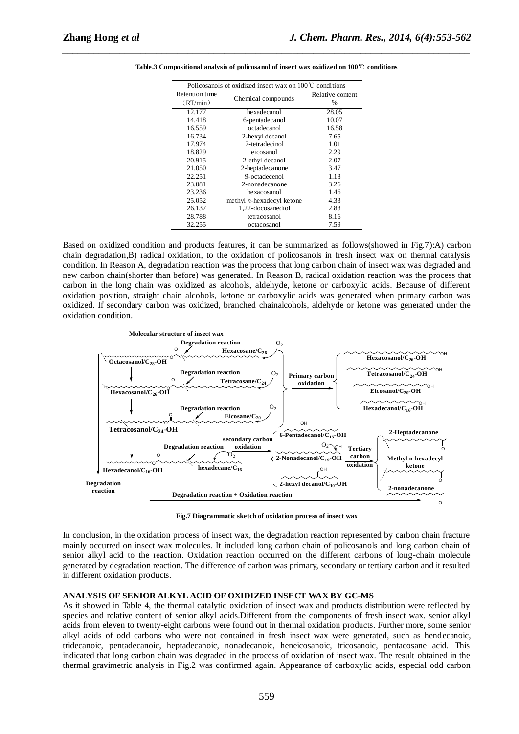| Policosanols of oxidized insect wax on $100^{\circ}$ C conditions |                              |                  |  |  |
|-------------------------------------------------------------------|------------------------------|------------------|--|--|
| Retention time                                                    |                              | Relative content |  |  |
| (RT/min)                                                          | Chemical compounds           | %                |  |  |
| 12.177                                                            | hexadecanol                  | 28.05            |  |  |
| 14.418                                                            | 6-pentadecanol               | 10.07            |  |  |
| 16.559                                                            | octadecanol                  | 16.58            |  |  |
| 16.734                                                            | 2-hexyl decanol              | 7.65             |  |  |
| 17.974                                                            | 7-tetradecinol               | 1.01             |  |  |
| 18.829                                                            | eicosanol                    | 2.29             |  |  |
| 20.915                                                            | 2-ethyl decanol              | 2.07             |  |  |
| 21.050                                                            | 2-heptadecanone              | 3.47             |  |  |
| 22.251                                                            | 9-octadecenol                | 1.18             |  |  |
| 23.081                                                            | 2-nonadecanone               | 3.26             |  |  |
| 23.236                                                            | hexacosanol                  | 1.46             |  |  |
| 25.052                                                            | methyl $n$ -hexadecyl ketone | 4.33             |  |  |
| 26.137                                                            | 1,22-docosanediol            | 2.83             |  |  |
| 28.788                                                            | tetracosanol                 | 8.16             |  |  |
| 32.255                                                            | octacosanol                  | 7.59             |  |  |

**Table.3 Compositional analysis of policosanol of insect wax oxidized on 100**℃ **conditions**

*\_\_\_\_\_\_\_\_\_\_\_\_\_\_\_\_\_\_\_\_\_\_\_\_\_\_\_\_\_\_\_\_\_\_\_\_\_\_\_\_\_\_\_\_\_\_\_\_\_\_\_\_\_\_\_\_\_\_\_\_\_\_\_\_\_\_\_\_\_\_\_\_\_\_\_\_\_\_*

Based on oxidized condition and products features, it can be summarized as follows(showed in Fig.7):A) carbon chain degradation,B) radical oxidation, to the oxidation of policosanols in fresh insect wax on thermal catalysis condition. In Reason A, degradation reaction was the process that long carbon chain of insect wax was degraded and new carbon chain(shorter than before) was generated. In Reason B, radical oxidation reaction was the process that carbon in the long chain was oxidized as alcohols, aldehyde, ketone or carboxylic acids. Because of different oxidation position, straight chain alcohols, ketone or carboxylic acids was generated when primary carbon was oxidized. If secondary carbon was oxidized, branched chainalcohols, aldehyde or ketone was generated under the oxidation condition.



**Fig.7 Diagrammatic sketch of oxidation process of insect wax**

In conclusion, in the oxidation process of insect wax, the degradation reaction represented by carbon chain fracture mainly occurred on insect wax molecules. It included long carbon chain of policosanols and long carbon chain of senior alkyl acid to the reaction. Oxidation reaction occurred on the different carbons of long-chain molecule generated by degradation reaction. The difference of carbon was primary, secondary or tertiary carbon and it resulted in different oxidation products.

## **ANALYSIS OF SENIOR ALKYL ACID OF OXIDIZED INSECT WAX BY GC-MS**

As it showed in Table 4, the thermal catalytic oxidation of insect wax and products distribution were reflected by species and relative content of senior alkyl acids.Different from the components of fresh insect wax, senior alkyl acids from eleven to twenty-eight carbons were found out in thermal oxidation products. Further more, some senior alkyl acids of odd carbons who were not contained in fresh insect wax were generated, such as hendecanoic, tridecanoic, pentadecanoic, heptadecanoic, nonadecanoic, heneicosanoic, tricosanoic, pentacosane acid. This indicated that long carbon chain was degraded in the process of oxidation of insect wax. The result obtained in the thermal gravimetric analysis in Fig.2 was confirmed again. Appearance of carboxylic acids, especial odd carbon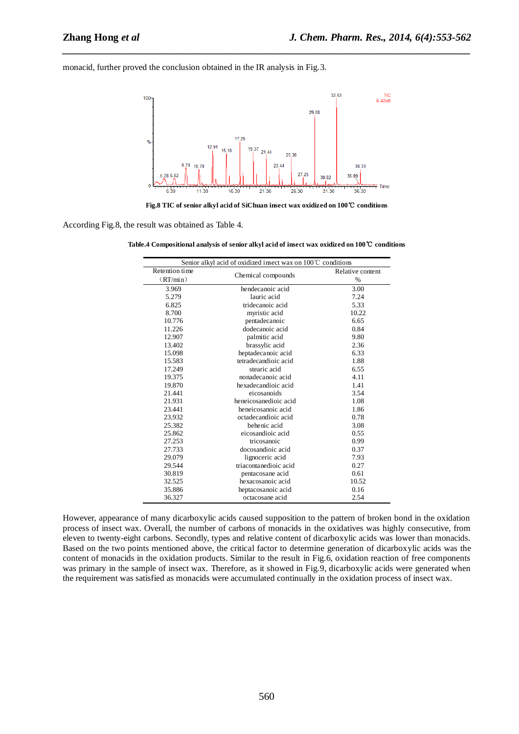monacid, further proved the conclusion obtained in the IR analysis in Fig.3.



*\_\_\_\_\_\_\_\_\_\_\_\_\_\_\_\_\_\_\_\_\_\_\_\_\_\_\_\_\_\_\_\_\_\_\_\_\_\_\_\_\_\_\_\_\_\_\_\_\_\_\_\_\_\_\_\_\_\_\_\_\_\_\_\_\_\_\_\_\_\_\_\_\_\_\_\_\_\_*

**Fig.8 TIC of senior alkyl acid of SiChuan insect wax oxidized on 100**℃ **conditions**

According Fig.8, the result was obtained as Table 4.

**Table.4 Compositional analysis of senior alkyl acid of insect wax oxidized on 100**℃ **conditions**

| Senior alkyl acid of oxidized insect wax on $100^{\circ}$ C conditions |                       |                          |  |  |
|------------------------------------------------------------------------|-----------------------|--------------------------|--|--|
| Retention time<br>(RT/min)                                             | Chemical compounds    | Relative content<br>$\%$ |  |  |
| 3.969                                                                  | hendecanoic acid      | 3.00                     |  |  |
| 5.279                                                                  | lauric acid           | 7.24                     |  |  |
| 6.825                                                                  | tridecanoic acid      | 5.33                     |  |  |
| 8.700                                                                  | myristic acid         | 10.22                    |  |  |
| 10.776                                                                 | pentadecanoic         | 6.65                     |  |  |
| 11.226                                                                 | dodecanoic acid       | 0.84                     |  |  |
| 12.907                                                                 | palmitic acid         | 9.80                     |  |  |
| 13.402                                                                 | brassylic acid        | 2.36                     |  |  |
| 15.098                                                                 | heptadecanoic acid    | 6.33                     |  |  |
| 15.583                                                                 | tetradecandioic acid  | 1.88                     |  |  |
| 17.249                                                                 | stearic acid          | 6.55                     |  |  |
| 19.375                                                                 | nonadecanoic acid     | 4.11                     |  |  |
| 19.870                                                                 | hexadecandioic acid   | 1.41                     |  |  |
| 21.441                                                                 | eicosanoids           | 3.54                     |  |  |
| 21.931                                                                 | heneicosanedioic acid | 1.08                     |  |  |
| 23.441                                                                 | heneicosanoic acid    | 1.86                     |  |  |
| 23.932                                                                 | octadecandioic acid   | 0.78                     |  |  |
| 25.382                                                                 | behenic acid          | 3.08                     |  |  |
| 25.862                                                                 | eicosandioic acid     | 0.55                     |  |  |
| 27.253                                                                 | tricosanoic           | 0.99                     |  |  |
| 27.733                                                                 | docosandioic acid     | 0.37                     |  |  |
| 29.079                                                                 | lignoceric acid       | 7.93                     |  |  |
| 29.544                                                                 | triacontanedioic acid | 0.27                     |  |  |
| 30.819                                                                 | pentacosane acid      | 0.61                     |  |  |
| 32.525                                                                 | hexacosanoic acid     | 10.52                    |  |  |
| 35.886                                                                 | heptacosanoic acid    | 0.16                     |  |  |
| 36.327                                                                 | octacosane acid       | 2.54                     |  |  |

However, appearance of many dicarboxylic acids caused supposition to the pattern of broken bond in the oxidation process of insect wax. Overall, the number of carbons of monacids in the oxidatives was highly consecutive, from eleven to twenty-eight carbons. Secondly, types and relative content of dicarboxylic acids was lower than monacids. Based on the two points mentioned above, the critical factor to determine generation of dicarboxylic acids was the content of monacids in the oxidation products. Similar to the result in Fig.6, oxidation reaction of free components was primary in the sample of insect wax. Therefore, as it showed in Fig.9, dicarboxylic acids were generated when the requirement was satisfied as monacids were accumulated continually in the oxidation process of insect wax.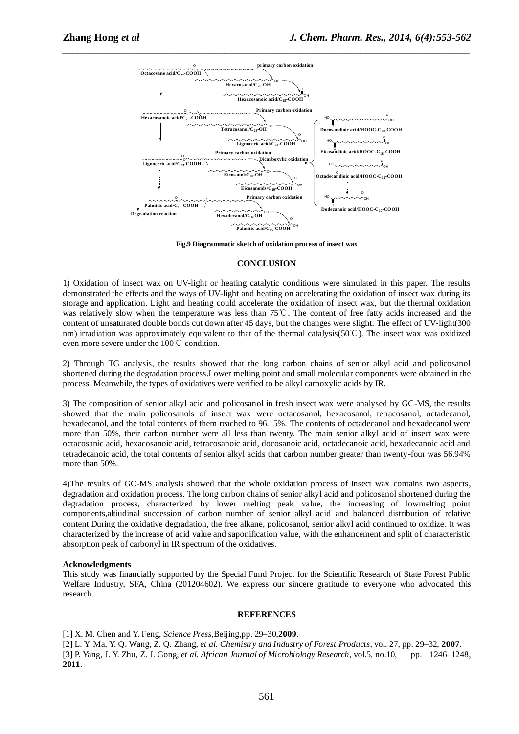

**Fig.9 Diagrammatic sketch of oxidation process of insect wax**

#### **CONCLUSION**

1) Oxidation of insect wax on UV-light or heating catalytic conditions were simulated in this paper. The results demonstrated the effects and the ways of UV-light and heating on accelerating the oxidation of insect wax during its storage and application. Light and heating could accelerate the oxidation of insect wax, but the thermal oxidation was relatively slow when the temperature was less than 75℃. The content of free fatty acids increased and the content of unsaturated double bonds cut down after 45 days, but the changes were slight. The effect of UV-light(300 nm) irradiation was approximately equivalent to that of the thermal catalysis(50℃). The insect wax was oxidized even more severe under the 100℃ condition.

2) Through TG analysis, the results showed that the long carbon chains of senior alkyl acid and policosanol shortened during the degradation process.Lower melting point and small molecular components were obtained in the process. Meanwhile, the types of oxidatives were verified to be alkyl carboxylic acids by IR.

3) The composition of senior alkyl acid and policosanol in fresh insect wax were analysed by GC-MS, the results showed that the main policosanols of insect wax were octacosanol, hexacosanol, tetracosanol, octadecanol, hexadecanol, and the total contents of them reached to 96.15%. The contents of octadecanol and hexadecanol were more than 50%, their carbon number were all less than twenty. The main senior alkyl acid of insect wax were octacosanic acid, hexacosanoic acid, tetracosanoic acid, docosanoic acid, octadecanoic acid, hexadecanoic acid and tetradecanoic acid, the total contents of senior alkyl acids that carbon number greater than twenty-four was 56.94% more than 50%.

4)The results of GC-MS analysis showed that the whole oxidation process of insect wax contains two aspects, degradation and oxidation process. The long carbon chains of senior alkyl acid and policosanol shortened during the degradation process, characterized by lower melting peak value, the increasing of lowmelting point components,altiudinal succession of carbon number of senior alkyl acid and balanced distribution of relative content.During the oxidative degradation, the free alkane, policosanol, senior alkyl acid continued to oxidize. It was characterized by the increase of acid value and saponification value, with the enhancement and split of characteristic absorption peak of carbonyl in IR spectrum of the oxidatives.

#### **Acknowledgments**

This study was financially supported by the Special Fund Project for the Scientific Research of State Forest Public Welfare Industry, SFA, China (201204602). We express our sincere gratitude to everyone who advocated this research.

#### **REFERENCES**

[1] X. M. Chen and Y. Feng, *Science Press*,Beijing,pp. 29–30,**2009**.

[2] L. Y. Ma, Y. Q. Wang, Z. Q. Zhang, *et al*. *Chemistry and Industry of Forest Products*, vol. 27, pp. 29–32, **2007**. [3] P. Yang, J. Y. Zhu, Z. J. Gong, *et al*. *African Journal of Microbiology Research*, vol.5, no.10, pp. 1246–1248, **2011**.